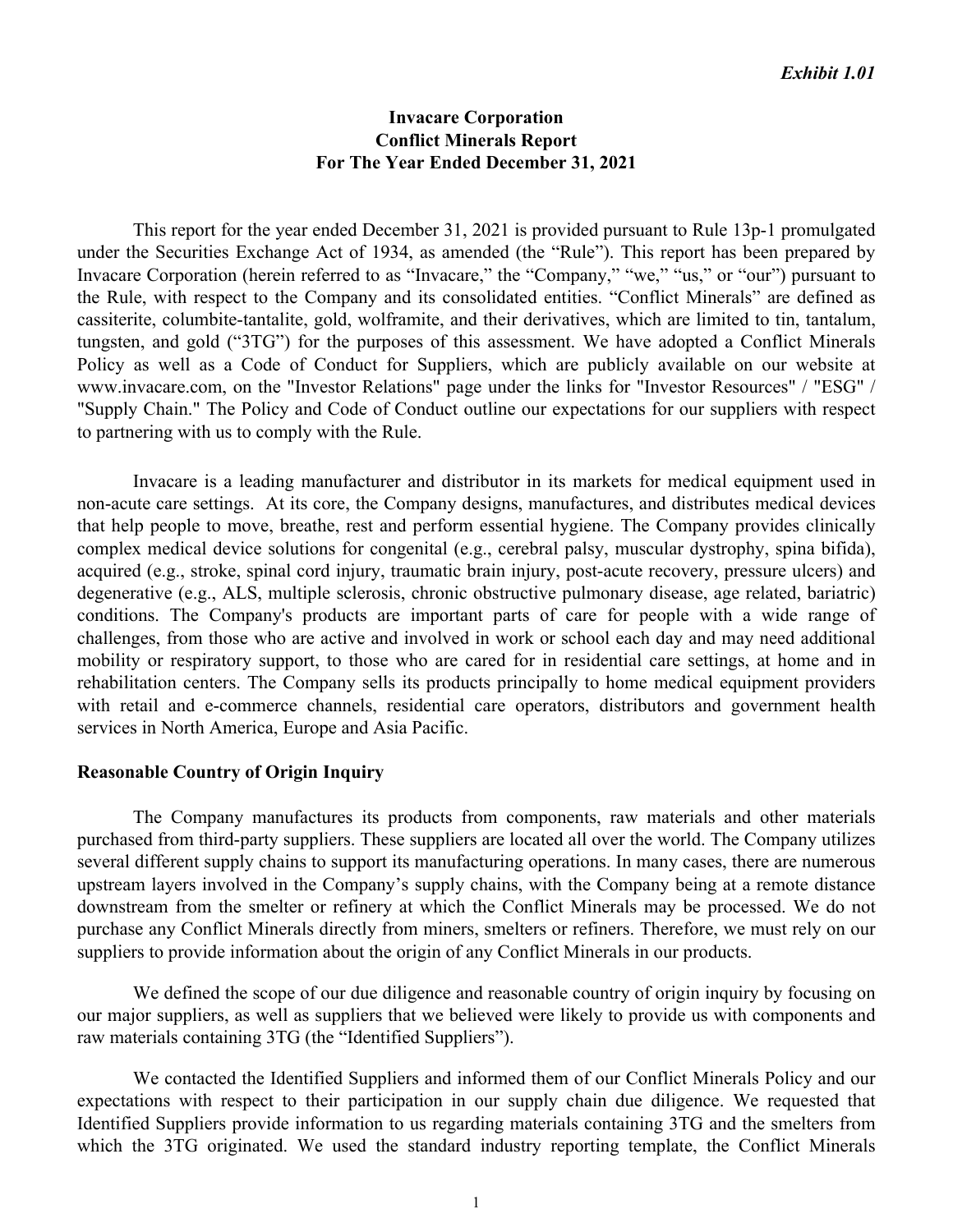# **Invacare Corporation Conflict Minerals Report For The Year Ended December 31, 2021**

 This report for the year ended December 31, 2021 is provided pursuant to Rule 13p-1 promulgated under the Securities Exchange Act of 1934, as amended (the "Rule"). This report has been prepared by Invacare Corporation (herein referred to as "Invacare," the "Company," "we," "us," or "our") pursuant to the Rule, with respect to the Company and its consolidated entities. "Conflict Minerals" are defined as cassiterite, columbite-tantalite, gold, wolframite, and their derivatives, which are limited to tin, tantalum, tungsten, and gold ("3TG") for the purposes of this assessment. We have adopted a Conflict Minerals Policy as well as a Code of Conduct for Suppliers, which are publicly available on our website at www.invacare.com, on the "Investor Relations" page under the links for "Investor Resources" / "ESG" / "Supply Chain." The Policy and Code of Conduct outline our expectations for our suppliers with respect to partnering with us to comply with the Rule.

 Invacare is a leading manufacturer and distributor in its markets for medical equipment used in non-acute care settings. At its core, the Company designs, manufactures, and distributes medical devices that help people to move, breathe, rest and perform essential hygiene. The Company provides clinically complex medical device solutions for congenital (e.g., cerebral palsy, muscular dystrophy, spina bifida), acquired (e.g., stroke, spinal cord injury, traumatic brain injury, post-acute recovery, pressure ulcers) and degenerative (e.g., ALS, multiple sclerosis, chronic obstructive pulmonary disease, age related, bariatric) conditions. The Company's products are important parts of care for people with a wide range of challenges, from those who are active and involved in work or school each day and may need additional mobility or respiratory support, to those who are cared for in residential care settings, at home and in rehabilitation centers. The Company sells its products principally to home medical equipment providers with retail and e-commerce channels, residential care operators, distributors and government health services in North America, Europe and Asia Pacific.

### **Reasonable Country of Origin Inquiry**

 The Company manufactures its products from components, raw materials and other materials purchased from third-party suppliers. These suppliers are located all over the world. The Company utilizes several different supply chains to support its manufacturing operations. In many cases, there are numerous upstream layers involved in the Company's supply chains, with the Company being at a remote distance downstream from the smelter or refinery at which the Conflict Minerals may be processed. We do not purchase any Conflict Minerals directly from miners, smelters or refiners. Therefore, we must rely on our suppliers to provide information about the origin of any Conflict Minerals in our products.

 We defined the scope of our due diligence and reasonable country of origin inquiry by focusing on our major suppliers, as well as suppliers that we believed were likely to provide us with components and raw materials containing 3TG (the "Identified Suppliers").

 We contacted the Identified Suppliers and informed them of our Conflict Minerals Policy and our expectations with respect to their participation in our supply chain due diligence. We requested that Identified Suppliers provide information to us regarding materials containing 3TG and the smelters from which the 3TG originated. We used the standard industry reporting template, the Conflict Minerals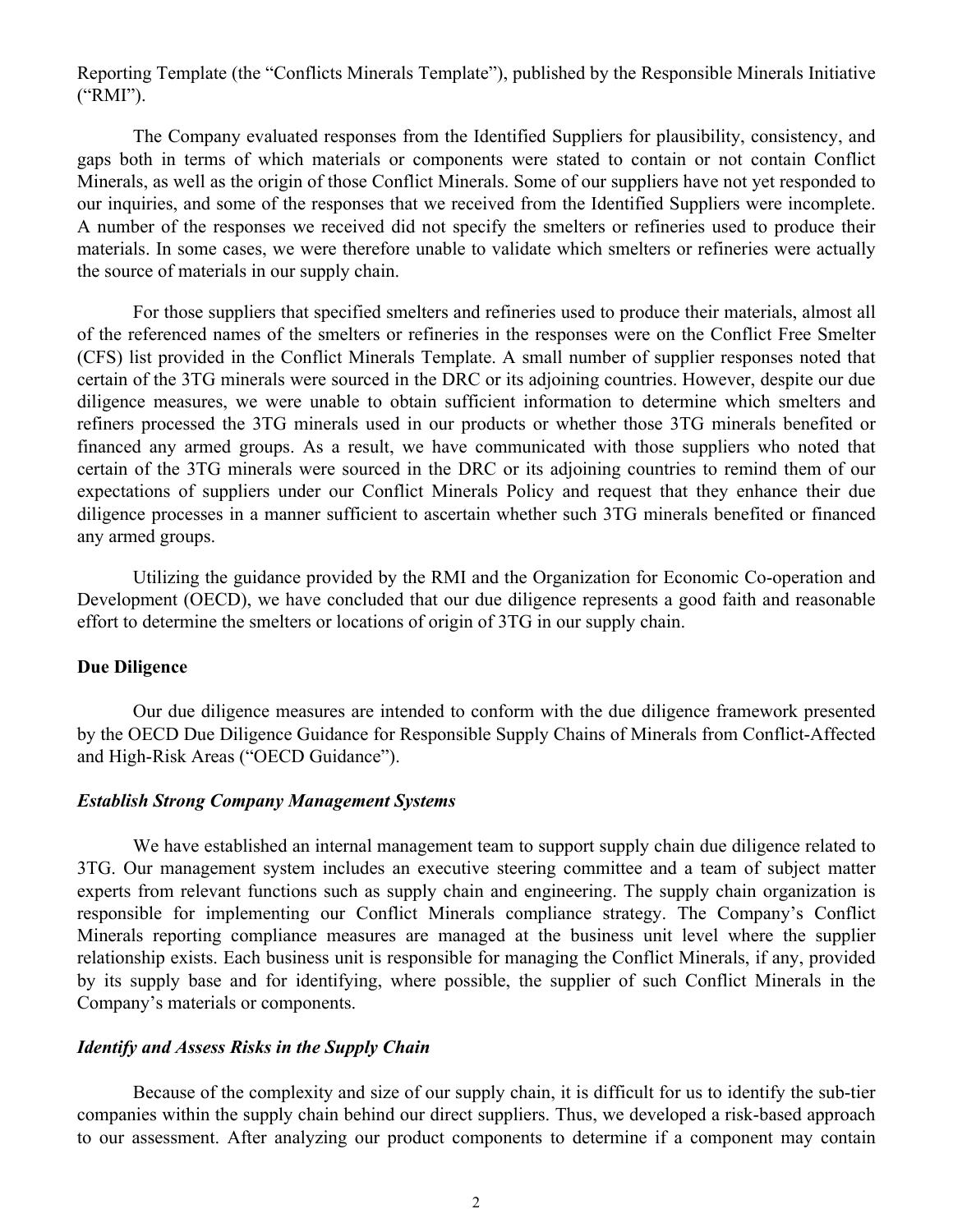Reporting Template (the "Conflicts Minerals Template"), published by the Responsible Minerals Initiative ("RMI").

 The Company evaluated responses from the Identified Suppliers for plausibility, consistency, and gaps both in terms of which materials or components were stated to contain or not contain Conflict Minerals, as well as the origin of those Conflict Minerals. Some of our suppliers have not yet responded to our inquiries, and some of the responses that we received from the Identified Suppliers were incomplete. A number of the responses we received did not specify the smelters or refineries used to produce their materials. In some cases, we were therefore unable to validate which smelters or refineries were actually the source of materials in our supply chain.

 For those suppliers that specified smelters and refineries used to produce their materials, almost all of the referenced names of the smelters or refineries in the responses were on the Conflict Free Smelter (CFS) list provided in the Conflict Minerals Template. A small number of supplier responses noted that certain of the 3TG minerals were sourced in the DRC or its adjoining countries. However, despite our due diligence measures, we were unable to obtain sufficient information to determine which smelters and refiners processed the 3TG minerals used in our products or whether those 3TG minerals benefited or financed any armed groups. As a result, we have communicated with those suppliers who noted that certain of the 3TG minerals were sourced in the DRC or its adjoining countries to remind them of our expectations of suppliers under our Conflict Minerals Policy and request that they enhance their due diligence processes in a manner sufficient to ascertain whether such 3TG minerals benefited or financed any armed groups.

 Utilizing the guidance provided by the RMI and the Organization for Economic Co-operation and Development (OECD), we have concluded that our due diligence represents a good faith and reasonable effort to determine the smelters or locations of origin of 3TG in our supply chain.

# **Due Diligence**

 Our due diligence measures are intended to conform with the due diligence framework presented by the OECD Due Diligence Guidance for Responsible Supply Chains of Minerals from Conflict-Affected and High-Risk Areas ("OECD Guidance").

### *Establish Strong Company Management Systems*

 We have established an internal management team to support supply chain due diligence related to 3TG. Our management system includes an executive steering committee and a team of subject matter experts from relevant functions such as supply chain and engineering. The supply chain organization is responsible for implementing our Conflict Minerals compliance strategy. The Company's Conflict Minerals reporting compliance measures are managed at the business unit level where the supplier relationship exists. Each business unit is responsible for managing the Conflict Minerals, if any, provided by its supply base and for identifying, where possible, the supplier of such Conflict Minerals in the Company's materials or components.

## *Identify and Assess Risks in the Supply Chain*

 Because of the complexity and size of our supply chain, it is difficult for us to identify the sub-tier companies within the supply chain behind our direct suppliers. Thus, we developed a risk-based approach to our assessment. After analyzing our product components to determine if a component may contain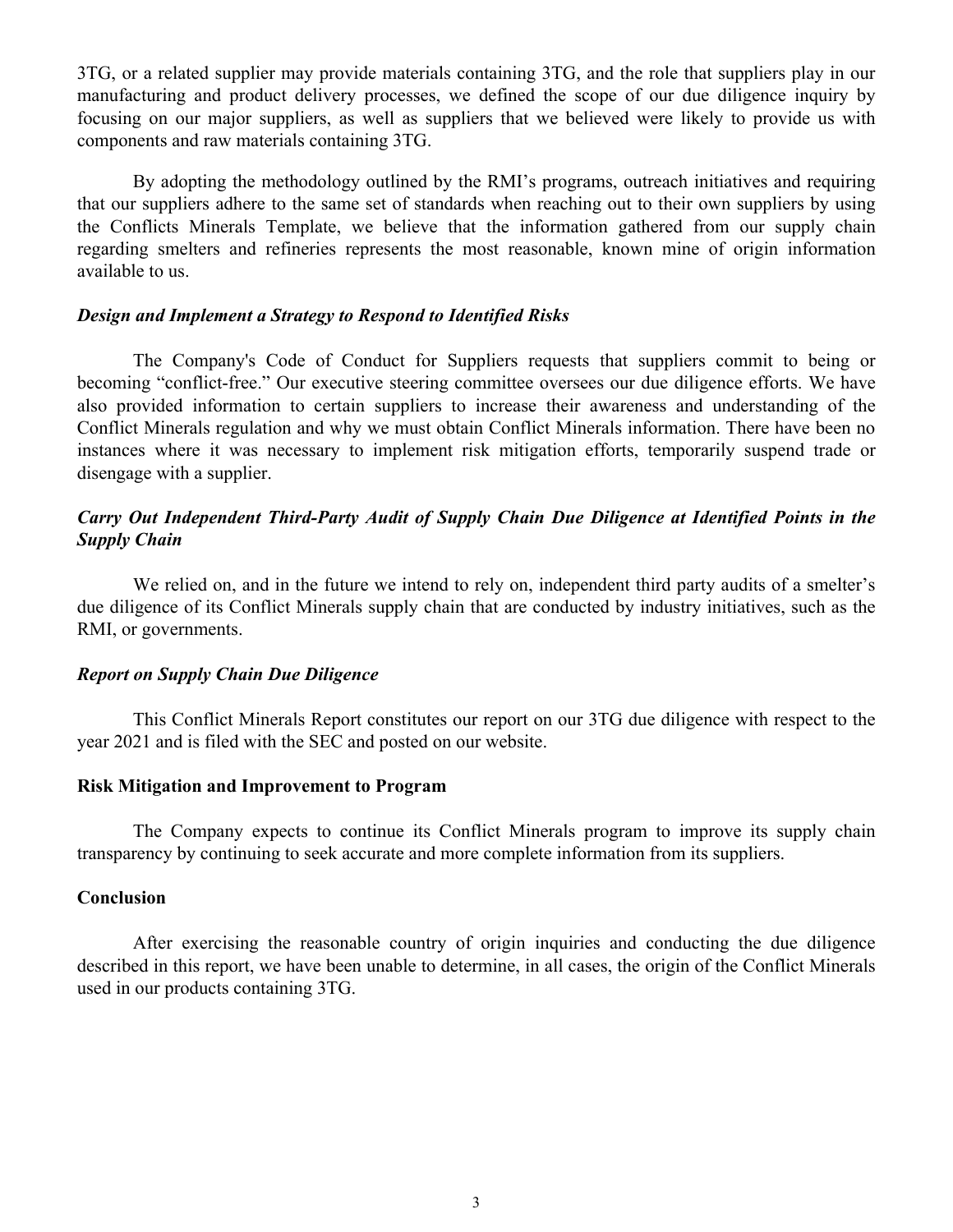3TG, or a related supplier may provide materials containing 3TG, and the role that suppliers play in our manufacturing and product delivery processes, we defined the scope of our due diligence inquiry by focusing on our major suppliers, as well as suppliers that we believed were likely to provide us with components and raw materials containing 3TG.

 By adopting the methodology outlined by the RMI's programs, outreach initiatives and requiring that our suppliers adhere to the same set of standards when reaching out to their own suppliers by using the Conflicts Minerals Template, we believe that the information gathered from our supply chain regarding smelters and refineries represents the most reasonable, known mine of origin information available to us.

## *Design and Implement a Strategy to Respond to Identified Risks*

 The Company's Code of Conduct for Suppliers requests that suppliers commit to being or becoming "conflict-free." Our executive steering committee oversees our due diligence efforts. We have also provided information to certain suppliers to increase their awareness and understanding of the Conflict Minerals regulation and why we must obtain Conflict Minerals information. There have been no instances where it was necessary to implement risk mitigation efforts, temporarily suspend trade or disengage with a supplier.

# *Carry Out Independent Third-Party Audit of Supply Chain Due Diligence at Identified Points in the Supply Chain*

We relied on, and in the future we intend to rely on, independent third party audits of a smelter's due diligence of its Conflict Minerals supply chain that are conducted by industry initiatives, such as the RMI, or governments.

# *Report on Supply Chain Due Diligence*

 This Conflict Minerals Report constitutes our report on our 3TG due diligence with respect to the year 2021 and is filed with the SEC and posted on our website.

### **Risk Mitigation and Improvement to Program**

 The Company expects to continue its Conflict Minerals program to improve its supply chain transparency by continuing to seek accurate and more complete information from its suppliers.

## **Conclusion**

 After exercising the reasonable country of origin inquiries and conducting the due diligence described in this report, we have been unable to determine, in all cases, the origin of the Conflict Minerals used in our products containing 3TG.